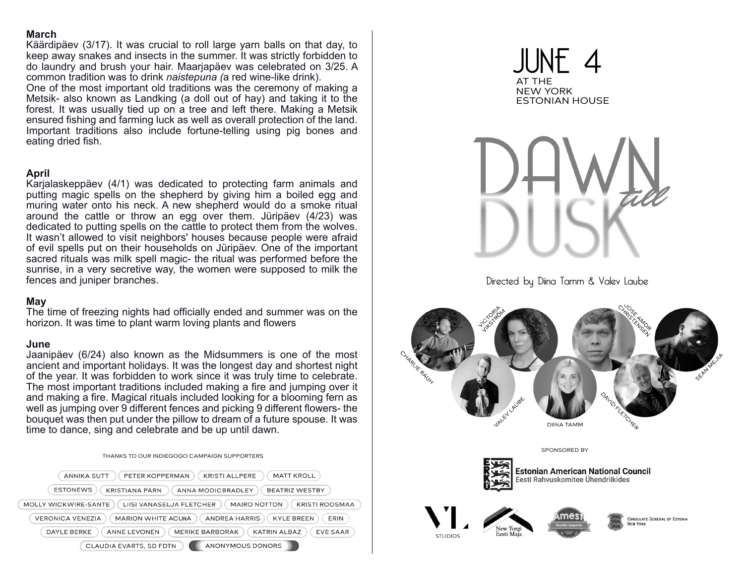### **March**

Käärdipäev (3/17). It was crucial to roll large yarn balls on that day, to keep away snakes and insects in the summer. It was strictly forbidden to do laundry and brush your hair. Maarjapäev was celebrated on 3/25. A common tradition was to drink *naistepuna (*a red wine-like drink).

One of the most important old traditions was the ceremony of making a Metsik- also known as Landking (a doll out of hay) and taking it to the forest. It was usually tied up on a tree and left there. Making a Metsik ensured fishing and farming luck as well as overall protection of the land. Important traditions also include fortune-telling using pig bones and eating dried fish.

## **April**

Karjalaskeppäev (4/1) was dedicated to protecting farm animals and putting magic spells on the shepherd by giving him a boiled egg and muring water onto his neck. A new shepherd would do a smoke ritual around the cattle or throw an egg over them. Jüripäev (4/23) was dedicated to putting spells on the cattle to protect them from the wolves. It wasn't allowed to visit neighbors' houses because people were afraid of evil spells put on their households on Jüripäev. One of the important sacred rituals was milk spell magic- the ritual was performed before the sunrise, in a very secretive way, the women were supposed to milk the fences and juniper branches.

# **May**

The time of freezing nights had officially ended and summer was on the horizon. It was time to plant warm loving plants and flowers

# **June**

Jaanipäev (6/24) also known as the Midsummers is one of the most ancient and important holidays. It was the longest day and shortest night of the year. It was forbidden to work since it was truly time to celebrate. The most important traditions included making a fire and jumping over it and making a fire. Magical rituals included looking for a blooming fern as well as jumping over 9 different fences and picking 9 different flowers- the bouquet was then put under the pillow to dream of a future spouse. It was time to dance, sing and celebrate and be up until dawn.







Directed by Diina Tamm & Valev Laube